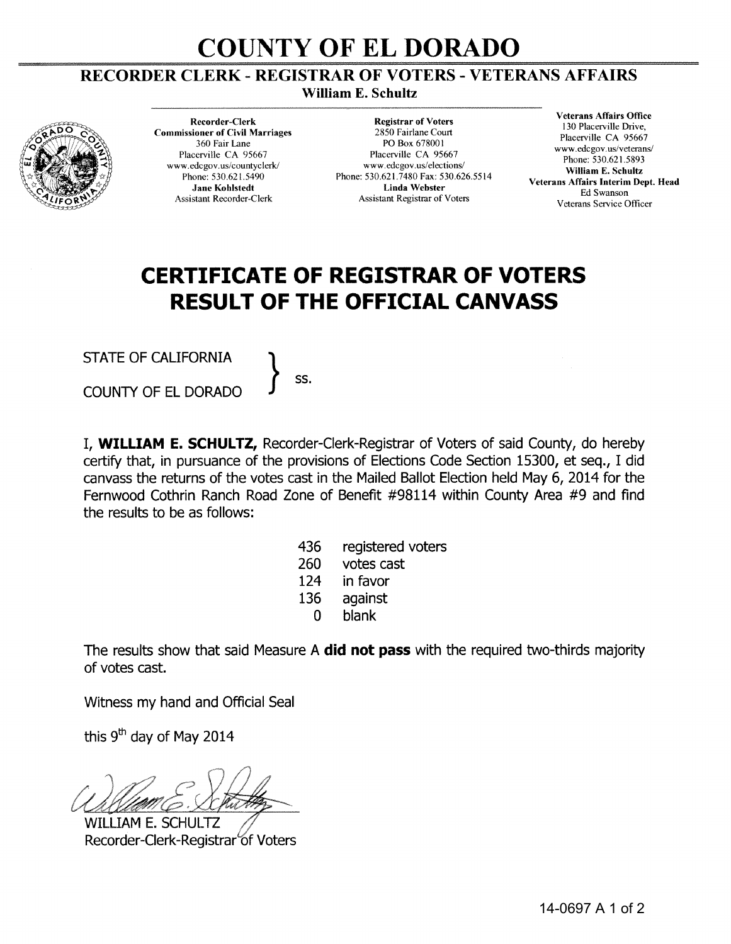## **COUNTY OF ELDORADO**

## RECORDER CLERK- REGISTRAR OF VOTERS- VETERANS AFFAIRS

William E. Schultz



Recorder-Clerk Commissioner of Civil Marriages 360 Fair Lane Placerville CA 95667 www.edcgov.us/countyclerk/ Phone: 530.621.5490 Jane Kohlstedt Assistant Recorder-Clerk

Registrar of Voters 2850 Fairlane Court PO Box 678001 Placerville CA 95667 www.edcgov.us/elections/ Phone: 530.621.7480 Fax: 530.626.5514 Linda Webster Assistant Registrar of Voters

Veterans Affairs Office 130 Placerville Drive, Placerville CA 95667 www.edcgov.us/veterans/ Phone: 530.621.5893 William E. Schultz Veterans Affairs Interim Dept. Head Ed Swanson Veterans Service Officer

## **CERTIFICATE OF REGISTRAR OF VOTERS RESULT OF THE OFFICIAL CANVASS**

STATE OF CALIFORNIA  $\Big\}$  ss.

COUNTY OF EL DORADO

I, **WILLIAM E. SCHULTZ,** Recorder-Clerk-Registrar of Voters of said County, do hereby certify that, in pursuance of the provisions of Elections Code Section 15300, et seq., I did canvass the returns of the votes cast in the Mailed Ballot Election held May 6, 2014 for the Fernwood Cothrin Ranch Road Zone of Benefit #98114 within County Area #9 and find the results to be as follows:

- 436 registered voters
- 260 votes cast
- 124 in favor
- 136 against
	- 0 blank

The results show that said Measure A **did not pass** with the required two-thirds majority of votes cast.

Witness my hand and Official Seal

this  $9<sup>th</sup>$  day of May 2014

**WILLIAM E. SCHULTZ** Recorder-Clerk-Registrar of Voters